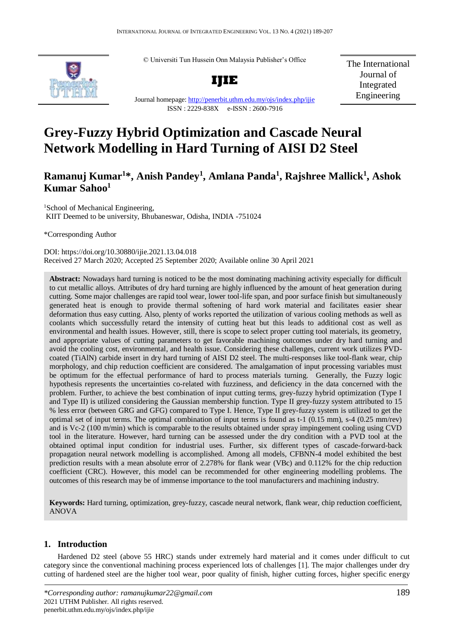© Universiti Tun Hussein Onn Malaysia Publisher's Office



**IJIE**

The International Journal of Integrated Engineering

Journal homepage:<http://penerbit.uthm.edu.my/ojs/index.php/ijie> ISSN : 2229-838X e-ISSN : 2600-7916

# **Grey-Fuzzy Hybrid Optimization and Cascade Neural Network Modelling in Hard Turning of AISI D2 Steel**

# **Ramanuj Kumar<sup>1</sup>\*, Anish Pandey<sup>1</sup> , Amlana Panda<sup>1</sup> , Rajshree Mallick<sup>1</sup> , Ashok Kumar Sahoo<sup>1</sup>**

<sup>1</sup>School of Mechanical Engineering, KIIT Deemed to be university, Bhubaneswar, Odisha, INDIA -751024

\*Corresponding Author

DOI: https://doi.org/10.30880/ijie.2021.13.04.018 Received 27 March 2020; Accepted 25 September 2020; Available online 30 April 2021

**Abstract:** Nowadays hard turning is noticed to be the most dominating machining activity especially for difficult to cut metallic alloys. Attributes of dry hard turning are highly influenced by the amount of heat generation during cutting. Some major challenges are rapid tool wear, lower tool-life span, and poor surface finish but simultaneously generated heat is enough to provide thermal softening of hard work material and facilitates easier shear deformation thus easy cutting. Also, plenty of works reported the utilization of various cooling methods as well as coolants which successfully retard the intensity of cutting heat but this leads to additional cost as well as environmental and health issues. However, still, there is scope to select proper cutting tool materials, its geometry, and appropriate values of cutting parameters to get favorable machining outcomes under dry hard turning and avoid the cooling cost, environmental, and health issue. Considering these challenges, current work utilizes PVDcoated (TiAlN) carbide insert in dry hard turning of AISI D2 steel. The multi-responses like tool-flank wear, chip morphology, and chip reduction coefficient are considered. The amalgamation of input processing variables must be optimum for the effectual performance of hard to process materials turning. Generally, the Fuzzy logic hypothesis represents the uncertainties co-related with fuzziness, and deficiency in the data concerned with the problem. Further, to achieve the best combination of input cutting terms, grey-fuzzy hybrid optimization (Type I and Type II) is utilized considering the Gaussian membership function. Type II grey-fuzzy system attributed to 15 % less error (between GRG and GFG) compared to Type I. Hence, Type II grey-fuzzy system is utilized to get the optimal set of input terms. The optimal combination of input terms is found as t-1 (0.15 mm), s-4 (0.25 mm/rev) and is Vc-2 (100 m/min) which is comparable to the results obtained under spray impingement cooling using CVD tool in the literature. However, hard turning can be assessed under the dry condition with a PVD tool at the obtained optimal input condition for industrial uses. Further, six different types of cascade-forward-back propagation neural network modelling is accomplished. Among all models, CFBNN-4 model exhibited the best prediction results with a mean absolute error of 2.278% for flank wear (VBc) and 0.112% for the chip reduction coefficient (CRC). However, this model can be recommended for other engineering modelling problems. The outcomes of this research may be of immense importance to the tool manufacturers and machining industry.

**Keywords:** Hard turning, optimization, grey-fuzzy, cascade neural network, flank wear, chip reduction coefficient, ANOVA

# **1. Introduction**

Hardened D2 steel (above 55 HRC) stands under extremely hard material and it comes under difficult to cut category since the conventional machining process experienced lots of challenges [1]. The major challenges under dry cutting of hardened steel are the higher tool wear, poor quality of finish, higher cutting forces, higher specific energy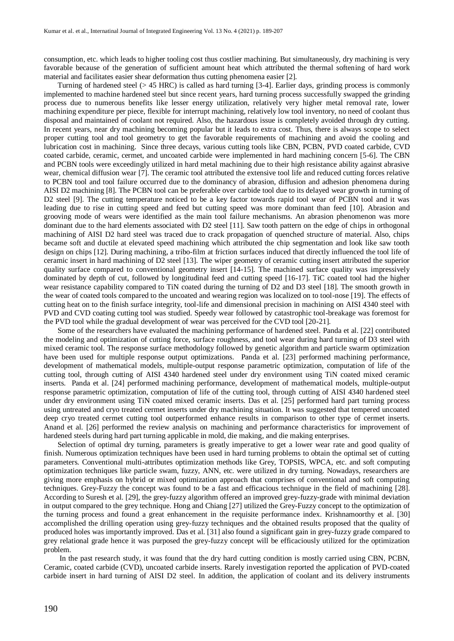consumption, etc. which leads to higher tooling cost thus costlier machining. But simultaneously, dry machining is very favorable because of the generation of sufficient amount heat which attributed the thermal softening of hard work material and facilitates easier shear deformation thus cutting phenomena easier [2].

Turning of hardened steel (> 45 HRC) is called as hard turning [3-4]. Earlier days, grinding process is commonly implemented to machine hardened steel but since recent years, hard turning process successfully swapped the grinding process due to numerous benefits like lesser energy utilization, relatively very higher metal removal rate, lower machining expenditure per piece, flexible for interrupt machining, relatively low tool inventory, no need of coolant thus disposal and maintained of coolant not required. Also, the hazardous issue is completely avoided through dry cutting. In recent years, near dry machining becoming popular but it leads to extra cost. Thus, there is always scope to select proper cutting tool and tool geometry to get the favorable requirements of machining and avoid the cooling and lubrication cost in machining. Since three decays, various cutting tools like CBN, PCBN, PVD coated carbide, CVD coated carbide, ceramic, cermet, and uncoated carbide were implemented in hard machining concern [5-6]. The CBN and PCBN tools were exceedingly utilized in hard metal machining due to their high resistance ability against abrasive wear, chemical diffusion wear [7]. The ceramic tool attributed the extensive tool life and reduced cutting forces relative to PCBN tool and tool failure occurred due to the dominancy of abrasion, diffusion and adhesion phenomena during AISI D2 machining [8]. The PCBN tool can be preferable over carbide tool due to its delayed wear growth in turning of D2 steel [9]. The cutting temperature noticed to be a key factor towards rapid tool wear of PCBN tool and it was leading due to rise in cutting speed and feed but cutting speed was more dominant than feed [10]. Abrasion and grooving mode of wears were identified as the main tool failure mechanisms. An abrasion phenomenon was more dominant due to the hard elements associated with D2 steel [11]. Saw tooth pattern on the edge of chips in orthogonal machining of AISI D2 hard steel was traced due to crack propagation of quenched structure of material. Also, chips became soft and ductile at elevated speed machining which attributed the chip segmentation and look like saw tooth design on chips [12]. During machining, a tribo-film at friction surfaces induced that directly influenced the tool life of ceramic insert in hard machining of D2 steel [13]. The wiper geometry of ceramic cutting insert attributed the superior quality surface compared to conventional geometry insert [14-15]. The machined surface quality was impressively dominated by depth of cut, followed by longitudinal feed and cutting speed [16-17]. TiC coated tool had the higher wear resistance capability compared to TiN coated during the turning of D2 and D3 steel [18]. The smooth growth in the wear of coated tools compared to the uncoated and wearing region was localized on to tool-nose [19]. The effects of cutting heat on to the finish surface integrity, tool-life and dimensional precision in machining on AISI 4340 steel with PVD and CVD coating cutting tool was studied. Speedy wear followed by catastrophic tool-breakage was foremost for the PVD tool while the gradual development of wear was perceived for the CVD tool [20-21].

Some of the researchers have evaluated the machining performance of hardened steel. Panda et al. [22] contributed the modeling and optimization of cutting force, surface roughness, and tool wear during hard turning of D3 steel with mixed ceramic tool. The response surface methodology followed by genetic algorithm and particle swarm optimization have been used for multiple response output optimizations. Panda et al. [23] performed machining performance, development of mathematical models, multiple-output response parametric optimization, computation of life of the cutting tool, through cutting of AISI 4340 hardened steel under dry environment using TiN coated mixed ceramic inserts. Panda et al. [24] performed machining performance, development of mathematical models, multiple-output response parametric optimization, computation of life of the cutting tool, through cutting of AISI 4340 hardened steel under dry environment using TiN coated mixed ceramic inserts. Das et al. [25] performed hard part turning process using untreated and cryo treated cermet inserts under dry machining situation. It was suggested that tempered uncoated deep cryo treated cermet cutting tool outperformed enhance results in comparison to other type of cermet inserts. Anand et al. [26] performed the review analysis on machining and performance characteristics for improvement of hardened steels during hard part turning applicable in mold, die making, and die making enterprises.

Selection of optimal dry turning, parameters is greatly imperative to get a lower wear rate and good quality of finish. Numerous optimization techniques have been used in hard turning problems to obtain the optimal set of cutting parameters. Conventional multi-attributes optimization methods like Grey, TOPSIS, WPCA, etc. and soft computing optimization techniques like particle swam, fuzzy, ANN, etc. were utilized in dry turning. Nowadays, researchers are giving more emphasis on hybrid or mixed optimization approach that comprises of conventional and soft computing techniques. Grey-Fuzzy the concept was found to be a fast and efficacious technique in the field of machining [28]. According to Suresh et al. [29], the grey-fuzzy algorithm offered an improved grey-fuzzy-grade with minimal deviation in output compared to the grey technique. Hong and Chiang [27] utilized the Grey-Fuzzy concept to the optimization of the turning process and found a great enhancement in the requisite performance index. Krishnamoorthy et al. [30] accomplished the drilling operation using grey-fuzzy techniques and the obtained results proposed that the quality of produced holes was importantly improved. Das et al. [31] also found a significant gain in grey-fuzzy grade compared to grey relational grade hence it was purposed the grey-fuzzy concept will be efficaciously utilized for the optimization problem.

In the past research study, it was found that the dry hard cutting condition is mostly carried using CBN, PCBN, Ceramic, coated carbide (CVD), uncoated carbide inserts. Rarely investigation reported the application of PVD-coated carbide insert in hard turning of AISI D2 steel. In addition, the application of coolant and its delivery instruments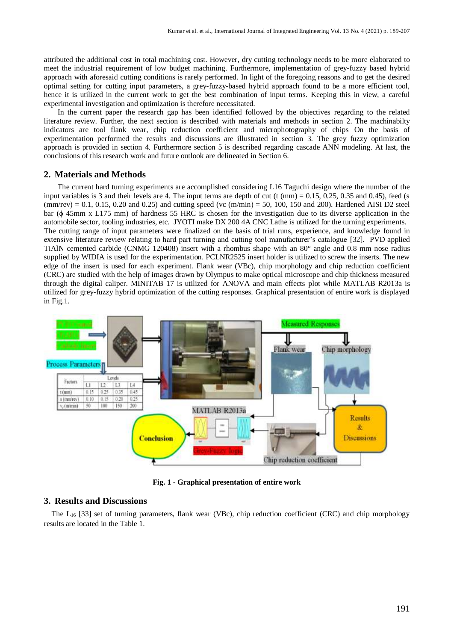attributed the additional cost in total machining cost. However, dry cutting technology needs to be more elaborated to meet the industrial requirement of low budget machining. Furthermore, implementation of grey-fuzzy based hybrid approach with aforesaid cutting conditions is rarely performed. In light of the foregoing reasons and to get the desired optimal setting for cutting input parameters, a grey-fuzzy-based hybrid approach found to be a more efficient tool, hence it is utilized in the current work to get the best combination of input terms. Keeping this in view, a careful experimental investigation and optimization is therefore necessitated.

In the current paper the research gap has been identified followed by the objectives regarding to the related literature review. Further, the next section is described with materials and methods in section 2. The machinabilty indicators are tool flank wear, chip reduction coefficient and microphotography of chips On the basis of experimentation performed the results and discussions are illustrated in section 3. The grey fuzzy optimization approach is provided in section 4. Furthermore section 5 is described regarding cascade ANN modeling. At last, the conclusions of this research work and future outlook are delineated in Section 6.

#### **2. Materials and Methods**

The current hard turning experiments are accomplished considering L16 Taguchi design where the number of the input variables is 3 and their levels are 4. The input terms are depth of cut (t (mm)  $= 0.15, 0.25, 0.35$  and 0.45), feed (s  $(\text{mm/rev}) = 0.1, 0.15, 0.20 \text{ and } 0.25)$  and cutting speed  $(\text{vc (m/min)} = 50, 100, 150 \text{ and } 200)$ . Hardened AISI D2 steel bar (ϕ 45mm x L175 mm) of hardness 55 HRC is chosen for the investigation due to its diverse application in the automobile sector, tooling industries, etc. JYOTI make DX 200 4A CNC Lathe is utilized for the turning experiments. The cutting range of input parameters were finalized on the basis of trial runs, experience, and knowledge found in extensive literature review relating to hard part turning and cutting tool manufacturer's catalogue [32]. PVD applied TiAlN cemented carbide (CNMG 120408) insert with a rhombus shape with an 80° angle and 0.8 mm nose radius supplied by WIDIA is used for the experimentation. PCLNR2525 insert holder is utilized to screw the inserts. The new edge of the insert is used for each experiment. Flank wear (VBc), chip morphology and chip reduction coefficient (CRC) are studied with the help of images drawn by Olympus to make optical microscope and chip thickness measured through the digital caliper. MINITAB 17 is utilized for ANOVA and main effects plot while MATLAB R2013a is utilized for grey-fuzzy hybrid optimization of the cutting responses. Graphical presentation of entire work is displayed in Fig.1.



**Fig. 1 - Graphical presentation of entire work**

# **3. Results and Discussions**

The  $L_{16}$  [33] set of turning parameters, flank wear (VBc), chip reduction coefficient (CRC) and chip morphology results are located in the Table 1.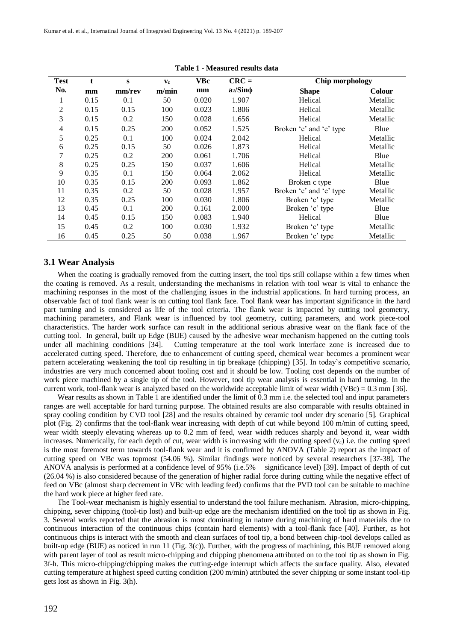Kumar et al. et al., Internatinal Journal of Integrated Engineering Vol. 13 No. 4 (2021) p. 189-207

| <b>Test</b>    | t    | S      | $\mathbf{v}_{\mathbf{c}}$ | <b>VBc</b> | $CRC =$       | Chip morphology         |          |
|----------------|------|--------|---------------------------|------------|---------------|-------------------------|----------|
| No.            | mm   | mm/rev | m/min                     | mm         | $a_2/Sin\phi$ | <b>Shape</b>            | Colour   |
|                |      |        |                           |            |               |                         |          |
| 1              | 0.15 | 0.1    | 50                        | 0.020      | 1.907         | Helical                 | Metallic |
| $\overline{2}$ | 0.15 | 0.15   | 100                       | 0.023      | 1.806         | Helical                 | Metallic |
| 3              | 0.15 | 0.2    | 150                       | 0.028      | 1.656         | Helical                 | Metallic |
| $\overline{4}$ | 0.15 | 0.25   | 200                       | 0.052      | 1.525         | Broken 'c' and 'e' type | Blue     |
| 5              | 0.25 | 0.1    | 100                       | 0.024      | 2.042         | Helical                 | Metallic |
| 6              | 0.25 | 0.15   | 50                        | 0.026      | 1.873         | Helical                 | Metallic |
| 7              | 0.25 | 0.2    | 200                       | 0.061      | 1.706         | Helical                 | Blue     |
| 8              | 0.25 | 0.25   | 150                       | 0.037      | 1.606         | Helical                 | Metallic |
| 9              | 0.35 | 0.1    | 150                       | 0.064      | 2.062         | Helical                 | Metallic |
| 10             | 0.35 | 0.15   | 200                       | 0.093      | 1.862         | Broken c type           | Blue     |
| 11             | 0.35 | 0.2    | 50                        | 0.028      | 1.957         | Broken 'c' and 'e' type | Metallic |
| 12             | 0.35 | 0.25   | 100                       | 0.030      | 1.806         | Broken 'c' type         | Metallic |
| 13             | 0.45 | 0.1    | 200                       | 0.161      | 2.000         | Broken 'c' type         | Blue     |
| 14             | 0.45 | 0.15   | 150                       | 0.083      | 1.940         | Helical                 | Blue     |
| 15             | 0.45 | 0.2    | 100                       | 0.030      | 1.932         | Broken 'c' type         | Metallic |
| 16             | 0.45 | 0.25   | 50                        | 0.038      | 1.967         | Broken 'c' type         | Metallic |

**Table 1** - **Measured results data**

#### **3.1 Wear Analysis**

When the coating is gradually removed from the cutting insert, the tool tips still collapse within a few times when the coating is removed. As a result, understanding the mechanisms in relation with tool wear is vital to enhance the machining responses in the most of the challenging issues in the industrial applications. In hard turning process, an observable fact of tool flank wear is on cutting tool flank face. Tool flank wear has important significance in the hard part turning and is considered as life of the tool criteria. The flank wear is impacted by cutting tool geometry, machining parameters, and Flank wear is influenced by tool geometry, cutting parameters, and work piece-tool characteristics. The harder work surface can result in the additional serious abrasive wear on the flank face of the cutting tool. In general, built up Edge (BUE) caused by the adhesive wear mechanism happened on the cutting tools under all machining conditions [34]. Cutting temperature at the tool work interface zone is increased due to accelerated cutting speed. Therefore, due to enhancement of cutting speed, chemical wear becomes a prominent wear pattern accelerating weakening the tool tip resulting in tip breakage (chipping) [35]. In today's competitive scenario, industries are very much concerned about tooling cost and it should be low. Tooling cost depends on the number of work piece machined by a single tip of the tool. However, tool tip wear analysis is essential in hard turning. In the current work, tool-flank wear is analyzed based on the worldwide acceptable limit of wear width (VBc) =  $0.3$  mm [36].

Wear results as shown in Table 1 are identified under the limit of 0.3 mm i.e. the selected tool and input parameters ranges are well acceptable for hard turning purpose. The obtained results are also comparable with results obtained in spray cooling condition by CVD tool [28] and the results obtained by ceramic tool under dry scenario [5]. Graphical plot (Fig. 2) confirms that the tool-flank wear increasing with depth of cut while beyond 100 m/min of cutting speed, wear width steeply elevating whereas up to 0.2 mm of feed, wear width reduces sharply and beyond it, wear width increases. Numerically, for each depth of cut, wear width is increasing with the cutting speed  $(v<sub>c</sub>)$  i.e. the cutting speed is the most foremost term towards tool-flank wear and it is confirmed by ANOVA (Table 2) report as the impact of cutting speed on VBc was topmost (54.06 %). Similar findings were noticed by several researchers [37-38]. The ANOVA analysis is performed at a confidence level of 95% (i.e.5% significance level) [39]. Impact of depth of cut (26.04 %) is also considered because of the generation of higher radial force during cutting while the negative effect of feed on VBc (almost sharp decrement in VBc with leading feed) confirms that the PVD tool can be suitable to machine the hard work piece at higher feed rate.

The Tool-wear mechanism is highly essential to understand the tool failure mechanism. Abrasion, micro-chipping, chipping, sever chipping (tool-tip lost) and built-up edge are the mechanism identified on the tool tip as shown in Fig. 3. Several works reported that the abrasion is most dominating in nature during machining of hard materials due to continuous interaction of the continuous chips (contain hard elements) with a tool-flank face [40]. Further, as hot continuous chips is interact with the smooth and clean surfaces of tool tip, a bond between chip-tool develops called as built-up edge (BUE) as noticed in run 11 (Fig. 3(c)). Further, with the progress of machining, this BUE removed along with parent layer of tool as result micro-chipping and chipping phenomena attributed on to the tool tip as shown in Fig. 3f-h. This micro-chipping/chipping makes the cutting-edge interrupt which affects the surface quality. Also, elevated cutting temperature at highest speed cutting condition (200 m/min) attributed the sever chipping or some instant tool-tip gets lost as shown in Fig. 3(h).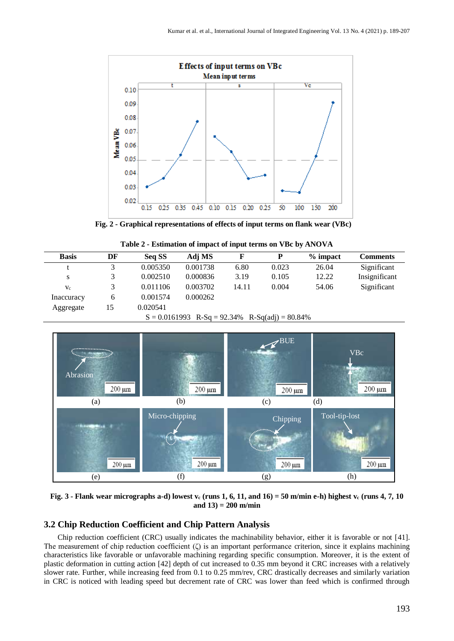

 **Fig. 2 - Graphical representations of effects of input terms on flank wear (VBc)**

| Table 2 - Estimation of impact of input terms on VBc by ANOVA |  |  |  |
|---------------------------------------------------------------|--|--|--|
|---------------------------------------------------------------|--|--|--|

| <b>Basis</b> | DF | Seq SS   | Adj MS                                                                                                                                  |       | D      | $%$ impact | <b>Comments</b> |
|--------------|----|----------|-----------------------------------------------------------------------------------------------------------------------------------------|-------|--------|------------|-----------------|
|              |    | 0.005350 | 0.001738                                                                                                                                | 6.80  | 0.023  | 26.04      | Significant     |
| S            | 3  | 0.002510 | 0.000836                                                                                                                                | 3.19  | 0.105  | 12.22      | Insignificant   |
| $V_c$        | 3  | 0.011106 | 0.003702                                                                                                                                | 14.11 | 0.004  | 54.06      | Significant     |
| Inaccuracy   | 6  | 0.001574 | 0.000262                                                                                                                                |       |        |            |                 |
| Aggregate    | 15 | 0.020541 |                                                                                                                                         |       |        |            |                 |
|              |    | $\sim$   | $0.01$ $\zeta$ 1002 $\overline{D}$ $\overline{D}$ $\ldots$ 02.240 $\overline{D}$ $\overline{D}$ $\zeta$ $\zeta$ $\zeta$ $\zeta$ $\zeta$ |       | 00.010 |            |                 |

 $S = 0.0161993$  R-Sq = 92.34% R-Sq(adj) = 80.84%



**Fig. 3 - Flank wear micrographs a-d) lowest v<sup>c</sup> (runs 1, 6, 11, and 16) = 50 m/min e-h) highest v<sup>c</sup> (runs 4, 7, 10 and 13) = 200 m/min**

# **3.2 Chip Reduction Coefficient and Chip Pattern Analysis**

Chip reduction coefficient (CRC) usually indicates the machinability behavior, either it is favorable or not [41]. The measurement of chip reduction coefficient  $(\zeta)$  is an important performance criterion, since it explains machining characteristics like favorable or unfavorable machining regarding specific consumption. Moreover, it is the extent of plastic deformation in cutting action [42] depth of cut increased to 0.35 mm beyond it CRC increases with a relatively slower rate. Further, while increasing feed from 0.1 to 0.25 mm/rev, CRC drastically decreases and similarly variation in CRC is noticed with leading speed but decrement rate of CRC was lower than feed which is confirmed through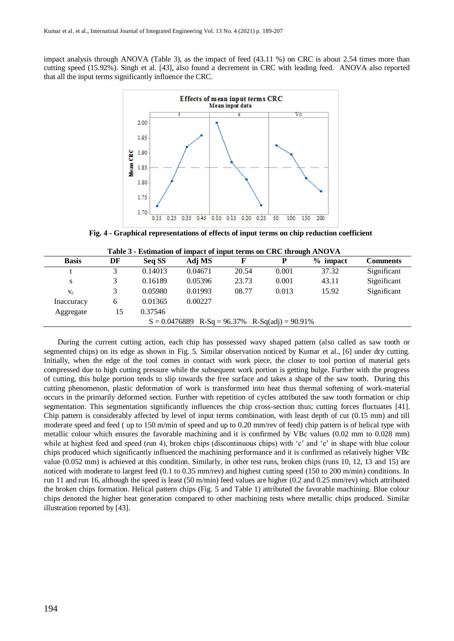impact analysis through ANOVA (Table 3), as the impact of feed (43.11 %) on CRC is about 2.54 times more than cutting speed (15.92%). Singh et al. [43], also found a decrement in CRC with leading feed. ANOVA also reported that all the input terms significantly influence the CRC.



**Fig. 4 - Graphical representations of effects of input terms on chip reduction coefficient**

|              |    |         | <b>Extribution of mighty of might terms on City this capability (11</b> |       |       |            |                 |
|--------------|----|---------|-------------------------------------------------------------------------|-------|-------|------------|-----------------|
| <b>Basis</b> | DF | Seq SS  | Adj MS                                                                  |       | Р     | $%$ impact | <b>Comments</b> |
|              |    | 0.14013 | 0.04671                                                                 | 20.54 | 0.001 | 37.32      | Significant     |
| S            |    | 0.16189 | 0.05396                                                                 | 23.73 | 0.001 | 43.11      | Significant     |
| $V_c$        |    | 0.05980 | 0.01993                                                                 | 08.77 | 0.013 | 15.92      | Significant     |
| Inaccuracy   | 6  | 0.01365 | 0.00227                                                                 |       |       |            |                 |
| Aggregate    | 15 | 0.37546 |                                                                         |       |       |            |                 |
|              |    |         | $S = 0.0476889$ R-Sq = 96.37% R-Sq(adj) = 90.91%                        |       |       |            |                 |

**Table 3 - Estimation of impact of input terms on CRC through ANOVA**

During the current cutting action, each chip has possessed wavy shaped pattern (also called as saw tooth or segmented chips) on its edge as shown in Fig. 5. Similar observation noticed by Kumar et al., [6] under dry cutting. Initially, when the edge of the tool comes in contact with work piece, the closer to tool portion of material gets compressed due to high cutting pressure while the subsequent work portion is getting bulge. Further with the progress of cutting, this bulge portion tends to slip towards the free surface and takes a shape of the saw tooth. During this cutting phenomenon, plastic deformation of work is transformed into heat thus thermal softening of work-material occurs in the primarily deformed section. Further with repetition of cycles attributed the saw tooth formation or chip segmentation. This segmentation significantly influences the chip cross-section thus; cutting forces fluctuates [41]. Chip pattern is considerably affected by level of input terms combination, with least depth of cut (0.15 mm) and till moderate speed and feed ( up to 150 m/min of speed and up to 0.20 mm/rev of feed) chip pattern is of helical type with metallic colour which ensures the favorable machining and it is confirmed by VBc values (0.02 mm to 0.028 mm) while at highest feed and speed (run 4), broken chips (discontinuous chips) with 'c' and 'e' in shape with blue colour chips produced which significantly influenced the machining performance and it is confirmed as relatively higher VBc value (0.052 mm) is achieved at this condition. Similarly, in other test runs, broken chips (runs 10, 12, 13 and 15) are noticed with moderate to largest feed (0.1 to 0.35 mm/rev) and highest cutting speed (150 to 200 m/min) conditions. In run 11 and run 16, although the speed is least (50 m/min) feed values are higher (0.2 and 0.25 mm/rev) which attributed the broken chips formation. Helical pattern chips (Fig. 5 and Table 1) attributed the favorable machining. Blue colour chips denoted the higher heat generation compared to other machining tests where metallic chips produced. Similar illustration reported by [43].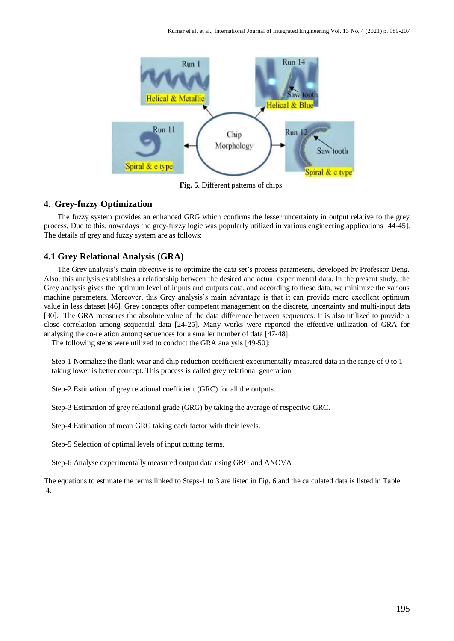

**Fig. 5**. Different patterns of chips

# **4. Grey-fuzzy Optimization**

The fuzzy system provides an enhanced GRG which confirms the lesser uncertainty in output relative to the grey process. Due to this, nowadays the grey-fuzzy logic was popularly utilized in various engineering applications [44-45]. The details of grey and fuzzy system are as follows:

#### **4.1 Grey Relational Analysis (GRA)**

The Grey analysis's main objective is to optimize the data set's process parameters, developed by Professor Deng. Also, this analysis establishes a relationship between the desired and actual experimental data. In the present study, the Grey analysis gives the optimum level of inputs and outputs data, and according to these data, we minimize the various machine parameters. Moreover, this Grey analysis's main advantage is that it can provide more excellent optimum value in less dataset [46]. Grey concepts offer competent management on the discrete, uncertainty and multi-input data [30]. The GRA measures the absolute value of the data difference between sequences. It is also utilized to provide a close correlation among sequential data [24-25]. Many works were reported the effective utilization of GRA for analysing the co-relation among sequences for a smaller number of data [47-48].

The following steps were utilized to conduct the GRA analysis [49-50]:

Step-1 Normalize the flank wear and chip reduction coefficient experimentally measured data in the range of 0 to 1 taking lower is better concept. This process is called grey relational generation.

Step-2 Estimation of grey relational coefficient (GRC) for all the outputs.

Step-3 Estimation of grey relational grade (GRG) by taking the average of respective GRC.

Step-4 Estimation of mean GRG taking each factor with their levels.

Step-5 Selection of optimal levels of input cutting terms.

Step-6 Analyse experimentally measured output data using GRG and ANOVA

The equations to estimate the terms linked to Steps-1 to 3 are listed in Fig. 6 and the calculated data is listed in Table 4.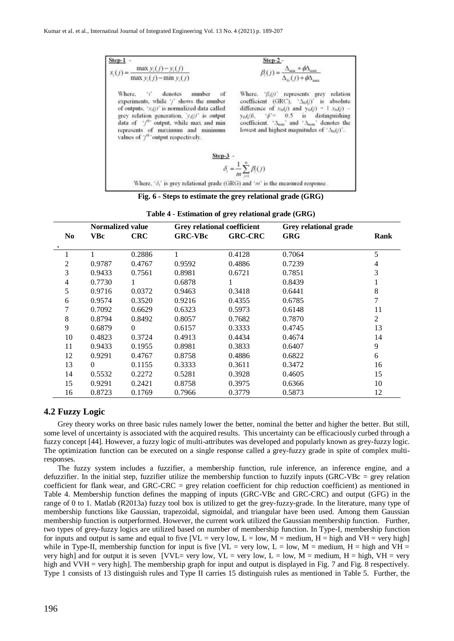| $Step-1 -$                                                                                                                                                                                                                                                                                                            | Step-2 -                                                                                                                                                                                                                                                                                                                                   |
|-----------------------------------------------------------------------------------------------------------------------------------------------------------------------------------------------------------------------------------------------------------------------------------------------------------------------|--------------------------------------------------------------------------------------------------------------------------------------------------------------------------------------------------------------------------------------------------------------------------------------------------------------------------------------------|
| $x_i(j) = \frac{\max y_i(j) - y_i(j)}{\max y_i(j) - \min y_i(j)}$                                                                                                                                                                                                                                                     | $\beta_i(j) = \frac{\Delta_{\min} + \phi \Delta_{\max}}{\Delta_{\min}(j) + \phi \Delta_{\max}}$                                                                                                                                                                                                                                            |
| Where, 'i' denotes number of<br>experiments, while ' <i>j</i> ' shows the number<br>of outputs, $x_i(t)$ is normalized data called<br>grey relation generation, $y_i(j)$ is output<br>data of 'f" output, while max and min.<br>represents of maximum and minimum<br>values of $\gamma^{\omega}$ output respectively. | Where, $\beta_i(j)$ represents grey relation<br>coefficient (GRC), $\Delta_0(t)$ is absolute<br>difference of $x_{0d}(t)$ and $y_{0d}(t) = 1$ $x_{0d}(t)$ -<br>$v_{0i}(t)$ , $\phi^2 = 0.5$ is distinguishing<br>coefficient. $\Delta_{min}$ and $\Delta_{max}$ denotes the<br>lowest and highest magnitudes of $^{\circ}$ $\Delta_0(t)$ . |
| Step-3                                                                                                                                                                                                                                                                                                                |                                                                                                                                                                                                                                                                                                                                            |
|                                                                                                                                                                                                                                                                                                                       | $\delta_i = \frac{1}{m} \sum_{i=1}^m \beta_i(j)$                                                                                                                                                                                                                                                                                           |
| Where, $\delta_i$ is grey relational grade (GRG) and $\gamma m$ is the measured response.                                                                                                                                                                                                                             |                                                                                                                                                                                                                                                                                                                                            |

**Fig. 6 - Steps to estimate the grey relational grade (GRG)**

|                | <b>Normalized value</b> |            | <b>Grey relational coefficient</b> |                | Grey relational grade |      |
|----------------|-------------------------|------------|------------------------------------|----------------|-----------------------|------|
| N <sub>0</sub> | <b>VBc</b>              | <b>CRC</b> | <b>GRC-VBc</b>                     | <b>GRC-CRC</b> | <b>GRG</b>            | Rank |
|                |                         | 0.2886     |                                    | 0.4128         | 0.7064                | 5    |
| 2              | 0.9787                  | 0.4767     | 0.9592                             | 0.4886         | 0.7239                | 4    |
| 3              | 0.9433                  | 0.7561     | 0.8981                             | 0.6721         | 0.7851                | 3    |
| 4              | 0.7730                  |            | 0.6878                             |                | 0.8439                |      |
| 5              | 0.9716                  | 0.0372     | 0.9463                             | 0.3418         | 0.6441                | 8    |
| 6              | 0.9574                  | 0.3520     | 0.9216                             | 0.4355         | 0.6785                | 7    |
|                | 0.7092                  | 0.6629     | 0.6323                             | 0.5973         | 0.6148                | 11   |
| 8              | 0.8794                  | 0.8492     | 0.8057                             | 0.7682         | 0.7870                | 2    |
| 9              | 0.6879                  | $\Omega$   | 0.6157                             | 0.3333         | 0.4745                | 13   |
| 10             | 0.4823                  | 0.3724     | 0.4913                             | 0.4434         | 0.4674                | 14   |
| 11             | 0.9433                  | 0.1955     | 0.8981                             | 0.3833         | 0.6407                | 9    |
| 12             | 0.9291                  | 0.4767     | 0.8758                             | 0.4886         | 0.6822                | 6    |
| 13             | $\Omega$                | 0.1155     | 0.3333                             | 0.3611         | 0.3472                | 16   |
| 14             | 0.5532                  | 0.2272     | 0.5281                             | 0.3928         | 0.4605                | 15   |
| 15             | 0.9291                  | 0.2421     | 0.8758                             | 0.3975         | 0.6366                | 10   |
| 16             | 0.8723                  | 0.1769     | 0.7966                             | 0.3779         | 0.5873                | 12   |

**Table 4** - **Estimation of grey relational grade (GRG)**

# **4.2 Fuzzy Logic**

Grey theory works on three basic rules namely lower the better, nominal the better and higher the better. But still, some level of uncertainty is associated with the acquired results. This uncertainty can be efficaciously curbed through a fuzzy concept [44]. However, a fuzzy logic of multi-attributes was developed and popularly known as grey-fuzzy logic. The optimization function can be executed on a single response called a grey-fuzzy grade in spite of complex multiresponses.

The fuzzy system includes a fuzzifier, a membership function, rule inference, an inference engine, and a defuzzifier. In the initial step, fuzzifier utilize the membership function to fuzzify inputs (GRC-VBc = grey relation coefficient for flank wear, and GRC-CRC = grey relation coefficient for chip reduction coefficient) as mentioned in Table 4. Membership function defines the mapping of inputs (GRC-VBc and GRC-CRC) and output (GFG) in the range of 0 to 1. Matlab (R2013a) fuzzy tool box is utilized to get the grey-fuzzy-grade. In the literature, many type of membership functions like Gaussian, trapezoidal, sigmoidal, and triangular have been used. Among them Gaussian membership function is outperformed. However, the current work utilized the Gaussian membership function. Further, two types of grey-fuzzy logics are utilized based on number of membership function. In Type-I, membership function for inputs and output is same and equal to five  $[VL = very low, L = low, M = medium, H = high and VH = very high]$ while in Type-II, membership function for input is five  $[VL = \text{very low}, L = \text{low}, M = \text{medium}, H = \text{high}$  and  $VH =$ very high] and for output it is seven [VVL= very low, VL = very low, L = low, M = medium, H = high, VH = very high and VVH = very high]. The membership graph for input and output is displayed in Fig. 7 and Fig. 8 respectively. Type 1 consists of 13 distinguish rules and Type II carries 15 distinguish rules as mentioned in Table 5. Further, the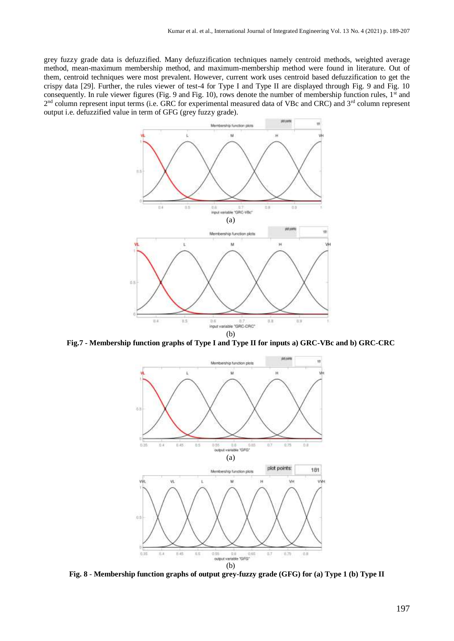grey fuzzy grade data is defuzzified. Many defuzzification techniques namely centroid methods, weighted average method, mean-maximum membership method, and maximum-membership method were found in literature. Out of them, centroid techniques were most prevalent. However, current work uses centroid based defuzzification to get the crispy data [29]. Further, the rules viewer of test-4 for Type I and Type II are displayed through Fig. 9 and Fig. 10 consequently. In rule viewer figures (Fig. 9 and Fig. 10), rows denote the number of membership function rules,  $1<sup>st</sup>$  and 2<sup>nd</sup> column represent input terms (i.e. GRC for experimental measured data of VBc and CRC) and 3<sup>rd</sup> column represent output i.e. defuzzified value in term of GFG (grey fuzzy grade).



**Fig.7 - Membership function graphs of Type I and Type II for inputs a) GRC-VBc and b) GRC-CRC**



**Fig. 8** - **Membership function graphs of output grey-fuzzy grade (GFG) for (a) Type 1 (b) Type II**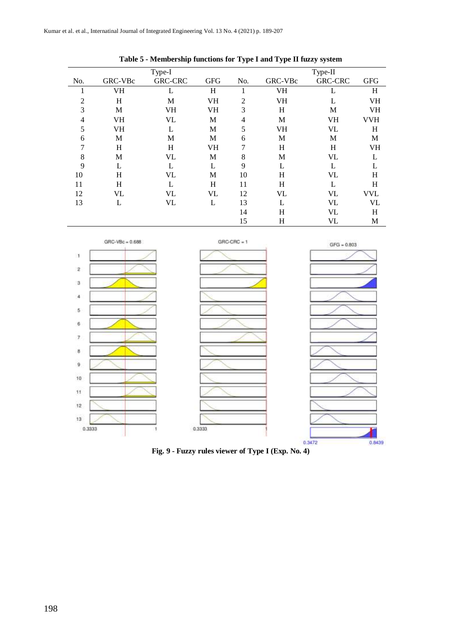|                |         | Type-I         |            |     |         | Type-II        |            |
|----------------|---------|----------------|------------|-----|---------|----------------|------------|
| No.            | GRC-VBc | <b>GRC-CRC</b> | <b>GFG</b> | No. | GRC-VBc | <b>GRC-CRC</b> | <b>GFG</b> |
| ı              | VH      | L              | H          | 1   | VH      | L              | H          |
| $\overline{2}$ | H       | M              | VH         | 2   | VH      | L              | VH         |
| 3              | M       | VH             | VH         | 3   | H       | M              | VH         |
| 4              | VH      | VL             | М          | 4   | M       | <b>VH</b>      | VVH        |
| 5              | VH      | L              | M          | 5   | VH      | VL             | H          |
| 6              | M       | М              | M          | 6   | M       | М              | M          |
| 7              | H       | H              | VH         | 7   | H       | H              | VH         |
| 8              | M       | VL             | M          | 8   | M       | VL             | L          |
| 9              | L       | L              | L          | 9   | L       | L              | L          |
| 10             | H       | VL             | М          | 10  | H       | VL             | H          |
| 11             | H       | L              | H          | 11  | H       | L              | H          |
| 12             | VL      | VL             | VL         | 12  | VL      | VL             | <b>VVL</b> |
| 13             | L       | VL             | L          | 13  | L       | VL             | VL         |
|                |         |                |            | 14  | H       | VL             | H          |
|                |         |                |            | 15  | H       | <b>VL</b>      | M          |





**Fig. 9 - Fuzzy rules viewer of Type I (Exp. No. 4)**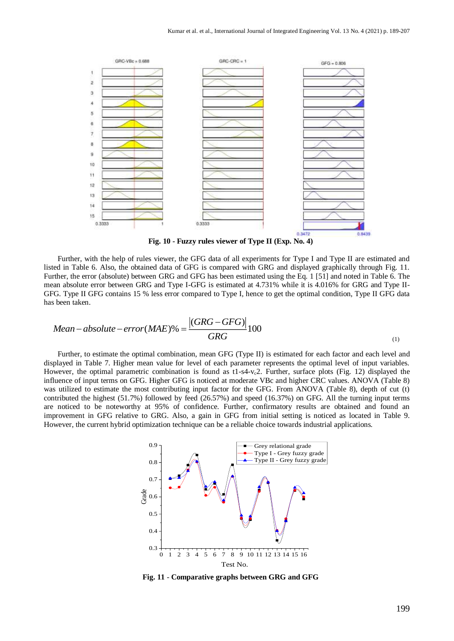

**Fig. 10 - Fuzzy rules viewer of Type II (Exp. No. 4)**

Further, with the help of rules viewer, the GFG data of all experiments for Type I and Type II are estimated and listed in Table 6. Also, the obtained data of GFG is compared with GRG and displayed graphically through Fig. 11. Further, the error (absolute) between GRG and GFG has been estimated using the Eq. 1 [51] and noted in Table 6. The mean absolute error between GRG and Type I-GFG is estimated at 4.731% while it is 4.016% for GRG and Type II-GFG. Type II GFG contains 15 % less error compared to Type I, hence to get the optimal condition, Type II GFG data has been taken.

Mean–absolute–error(MAE)% = 
$$
\frac{|(GRG – GFG)|}{GRG}100
$$
 (1)

Further, to estimate the optimal combination, mean GFG (Type II) is estimated for each factor and each level and displayed in Table 7. Higher mean value for level of each parameter represents the optimal level of input variables. However, the optimal parametric combination is found as  $t1-s4-v<sub>c</sub>2$ . Further, surface plots (Fig. 12) displayed the influence of input terms on GFG. Higher GFG is noticed at moderate VBc and higher CRC values. ANOVA (Table 8) was utilized to estimate the most contributing input factor for the GFG. From ANOVA (Table 8), depth of cut (t) contributed the highest (51.7%) followed by feed (26.57%) and speed (16.37%) on GFG. All the turning input terms are noticed to be noteworthy at 95% of confidence. Further, confirmatory results are obtained and found an improvement in GFG relative to GRG. Also, a gain in GFG from initial setting is noticed as located in Table 9. However, the current hybrid optimization technique can be a reliable choice towards industrial applications.



**Fig. 11** - **Comparative graphs between GRG and GFG**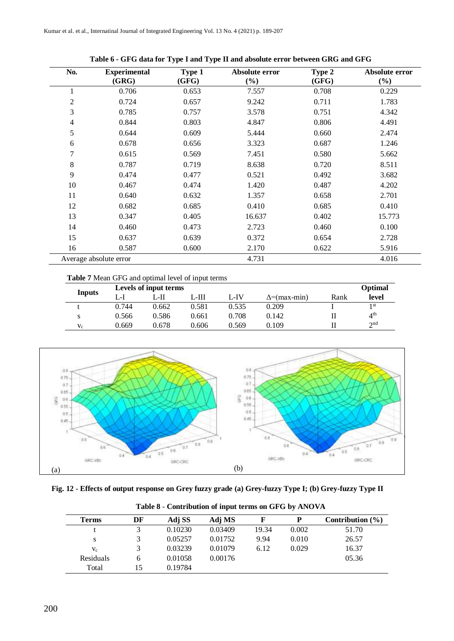| No.            | <b>Experimental</b><br>(GRG) | Type 1<br>(GFG) | Absolute error<br>$(\%)$ | Type 2<br>(GFG) | Absolute error<br>$(\%)$ |
|----------------|------------------------------|-----------------|--------------------------|-----------------|--------------------------|
| 1              | 0.706                        | 0.653           | 7.557                    | 0.708           | 0.229                    |
| $\overline{c}$ | 0.724                        | 0.657           | 9.242                    | 0.711           | 1.783                    |
| 3              | 0.785                        | 0.757           | 3.578                    | 0.751           | 4.342                    |
| 4              | 0.844                        | 0.803           | 4.847                    | 0.806           | 4.491                    |
| 5              | 0.644                        | 0.609           | 5.444                    | 0.660           | 2.474                    |
| 6              | 0.678                        | 0.656           | 3.323                    | 0.687           | 1.246                    |
| 7              | 0.615                        | 0.569           | 7.451                    | 0.580           | 5.662                    |
| $\,8\,$        | 0.787                        | 0.719           | 8.638                    | 0.720           | 8.511                    |
| 9              | 0.474                        | 0.477           | 0.521                    | 0.492           | 3.682                    |
| 10             | 0.467                        | 0.474           | 1.420                    | 0.487           | 4.202                    |
| 11             | 0.640                        | 0.632           | 1.357                    | 0.658           | 2.701                    |
| 12             | 0.682                        | 0.685           | 0.410                    | 0.685           | 0.410                    |
| 13             | 0.347                        | 0.405           | 16.637                   | 0.402           | 15.773                   |
| 14             | 0.460                        | 0.473           | 2.723                    | 0.460           | 0.100                    |
| 15             | 0.637                        | 0.639           | 0.372                    | 0.654           | 2.728                    |
| 16             | 0.587                        | 0.600           | 2.170                    | 0.622           | 5.916                    |
|                | Average absolute error       |                 | 4.731                    |                 | 4.016                    |

# **Table 6 - GFG data for Type I and Type II and absolute error between GRG and GFG**

#### **Table 7** Mean GFG and optimal level of input terms

|               |       | Levels of input terms |       |       |                     |      | Optimal         |
|---------------|-------|-----------------------|-------|-------|---------------------|------|-----------------|
| <b>Inputs</b> | المت  | L-H                   | .-HI  | L-IV  | $\Delta$ =(max-min) | Rank | level           |
|               | 0.744 | 0.662                 | 0.581 | 0.535 | 0.209               |      | 1 st            |
|               | 0.566 | 0.586                 | 0.661 | 0.708 | 0.142               |      | $4^{\text{th}}$ |
| $V_c$         | 0.669 | 0.678                 | 0.606 | 0.569 | 0.109               |      | 2nd             |



**Fig. 12 - Effects of output response on Grey fuzzy grade (a) Grey-fuzzy Type I; (b) Grey-fuzzy Type II**

| <b>Terms</b> | DF | Adj SS  | Adj MS  |       | P     | Contribution $(\% )$ |
|--------------|----|---------|---------|-------|-------|----------------------|
|              |    | 0.10230 | 0.03409 | 19.34 | 0.002 | 51.70                |
| S            |    | 0.05257 | 0.01752 | 9.94  | 0.010 | 26.57                |
| $V_c$        |    | 0.03239 | 0.01079 | 6.12  | 0.029 | 16.37                |
| Residuals    | h  | 0.01058 | 0.00176 |       |       | 05.36                |
| Total        | 15 | 0.19784 |         |       |       |                      |

**Table 8** - **Contribution of input terms on GFG by ANOVA**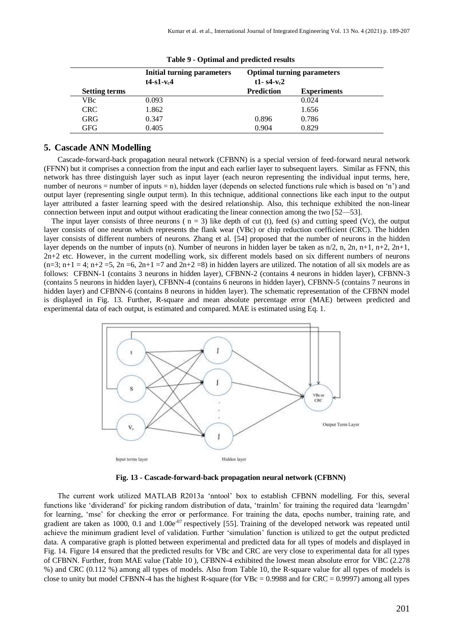|                      | <b>Initial turning parameters</b><br>$t4-s1-vc4$ | $t1 - s4 - vc2$   | <b>Optimal turning parameters</b> |
|----------------------|--------------------------------------------------|-------------------|-----------------------------------|
| <b>Setting terms</b> |                                                  | <b>Prediction</b> | <b>Experiments</b>                |
| VBc                  | 0.093                                            |                   | 0.024                             |
| <b>CRC</b>           | 1.862                                            |                   | 1.656                             |
| GRG                  | 0.347                                            | 0.896             | 0.786                             |
| GFG                  | 0.405                                            | 0.904             | 0.829                             |

|  | Table 9 - Optimal and predicted results |  |  |
|--|-----------------------------------------|--|--|
|--|-----------------------------------------|--|--|

## **5. Cascade ANN Modelling**

Cascade-forward-back propagation neural network (CFBNN) is a special version of feed-forward neural network (FFNN) but it comprises a connection from the input and each earlier layer to subsequent layers. Similar as FFNN, this network has three distinguish layer such as input layer (each neuron representing the individual input terms, here, number of neurons = number of inputs = n), hidden layer (depends on selected functions rule which is based on 'n') and output layer (representing single output term). In this technique, additional connections like each input to the output layer attributed a faster learning speed with the desired relationship. Also, this technique exhibited the non-linear connection between input and output without eradicating the linear connection among the two [52—53].

The input layer consists of three neurons ( $n = 3$ ) like depth of cut (t), feed (s) and cutting speed (Vc), the output layer consists of one neuron which represents the flank wear (VBc) or chip reduction coefficient (CRC). The hidden layer consists of different numbers of neurons. Zhang et al. [54] proposed that the number of neurons in the hidden layer depends on the number of inputs (n). Number of neurons in hidden layer be taken as  $n/2$ , n,  $2n$ ,  $n+1$ ,  $n+2$ ,  $2n+1$ , 2n+2 etc. However, in the current modelling work, six different models based on six different numbers of neurons  $(n=3; n+1 = 4; n+2 = 5, 2n = 6, 2n+1 = 7$  and  $2n+2 = 8$ ) in hidden layers are utilized. The notation of all six models are as follows: CFBNN-1 (contains 3 neurons in hidden layer), CFBNN-2 (contains 4 neurons in hidden layer), CFBNN-3 (contains 5 neurons in hidden layer), CFBNN-4 (contains 6 neurons in hidden layer), CFBNN-5 (contains 7 neurons in hidden layer) and CFBNN-6 (contains 8 neurons in hidden layer). The schematic representation of the CFBNN model is displayed in Fig. 13. Further, R-square and mean absolute percentage error (MAE) between predicted and experimental data of each output, is estimated and compared. MAE is estimated using Eq. 1.



**Fig. 13 - Cascade-forward-back propagation neural network (CFBNN)**

The current work utilized MATLAB R2013a 'nntool' box to establish CFBNN modelling. For this, several functions like 'dividerand' for picking random distribution of data, 'trainlm' for training the required data 'learngdm' for learning, 'mse' for checking the error or performance. For training the data, epochs number, training rate, and gradient are taken as 1000, 0.1 and  $1.00e^{-07}$  respectively [55]. Training of the developed network was repeated until achieve the minimum gradient level of validation. Further 'simulation' function is utilized to get the output predicted data. A comparative graph is plotted between experimental and predicted data for all types of models and displayed in Fig. 14. Figure 14 ensured that the predicted results for VBc and CRC are very close to experimental data for all types of CFBNN. Further, from MAE value (Table 10 ), CFBNN-4 exhibited the lowest mean absolute error for VBC (2.278 %) and CRC (0.112 %) among all types of models. Also from Table 10, the R-square value for all types of models is close to unity but model CFBNN-4 has the highest R-square (for VBc =  $0.9988$  and for CRC =  $0.9997$ ) among all types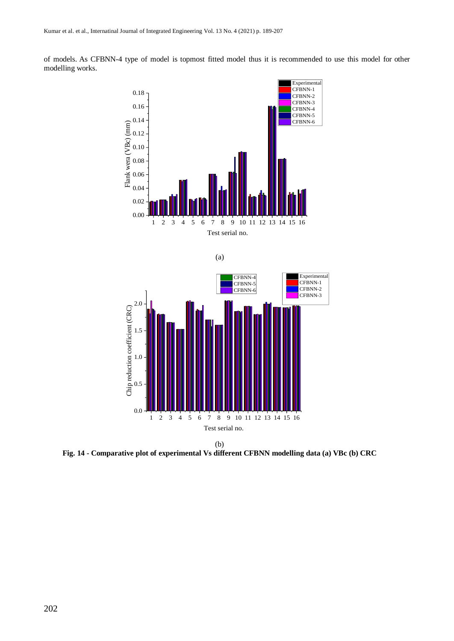

of models. As CFBNN-4 type of model is topmost fitted model thus it is recommended to use this model for other modelling works.







**Fig. 14 - Comparative plot of experimental Vs different CFBNN modelling data (a) VBc (b) CRC**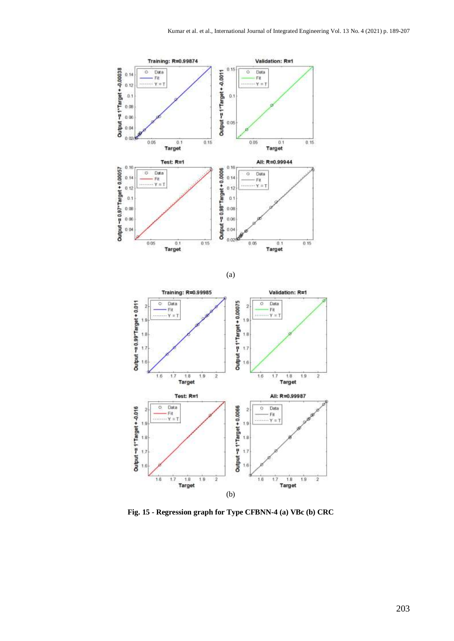





**Fig. 15 - Regression graph for Type CFBNN-4 (a) VBc (b) CRC**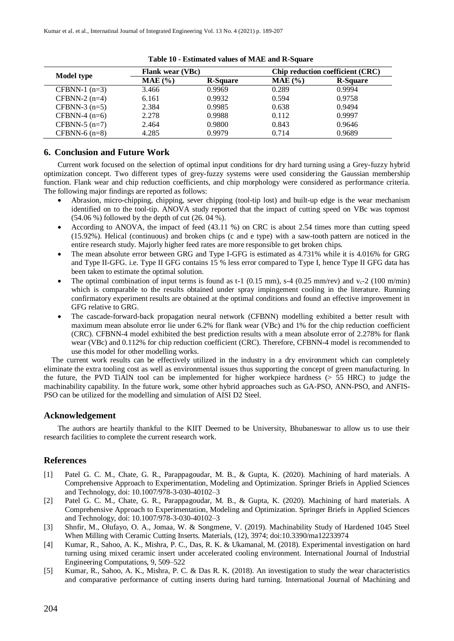| Model type      | <b>Flank wear (VBc)</b> |                 | Chip reduction coefficient (CRC) |                 |
|-----------------|-------------------------|-----------------|----------------------------------|-----------------|
|                 | $MAE$ $(\% )$           | <b>R-Square</b> | $MAE$ $(\% )$                    | <b>R-Square</b> |
| CFBNN-1 $(n=3)$ | 3.466                   | 0.9969          | 0.289                            | 0.9994          |
| CFBNN-2 $(n=4)$ | 6.161                   | 0.9932          | 0.594                            | 0.9758          |
| CFBNN-3 $(n=5)$ | 2.384                   | 0.9985          | 0.638                            | 0.9494          |
| CFBNN-4 $(n=6)$ | 2.278                   | 0.9988          | 0.112                            | 0.9997          |
| $CFBNN-5$ (n=7) | 2.464                   | 0.9800          | 0.843                            | 0.9646          |
| CFBNN-6 $(n=8)$ | 4.285                   | 0.9979          | 0.714                            | 0.9689          |

**Table 10 - Estimated values of MAE and R-Square**

# **6. Conclusion and Future Work**

Current work focused on the selection of optimal input conditions for dry hard turning using a Grey-fuzzy hybrid optimization concept. Two different types of grey-fuzzy systems were used considering the Gaussian membership function. Flank wear and chip reduction coefficients, and chip morphology were considered as performance criteria. The following major findings are reported as follows:

- Abrasion, micro-chipping, chipping, sever chipping (tool-tip lost) and built-up edge is the wear mechanism identified on to the tool-tip. ANOVA study reported that the impact of cutting speed on VBc was topmost (54.06 %) followed by the depth of cut (26. 04 %).
- According to ANOVA, the impact of feed (43.11 %) on CRC is about 2.54 times more than cutting speed (15.92%). Helical (continuous) and broken chips (c and e type) with a saw-tooth pattern are noticed in the entire research study. Majorly higher feed rates are more responsible to get broken chips.
- The mean absolute error between GRG and Type I-GFG is estimated as 4.731% while it is 4.016% for GRG and Type II-GFG. i.e. Type II GFG contains 15 % less error compared to Type I, hence Type II GFG data has been taken to estimate the optimal solution.
- The optimal combination of input terms is found as t-1 (0.15 mm), s-4 (0.25 mm/rev) and  $v_c$ -2 (100 m/min) which is comparable to the results obtained under spray impingement cooling in the literature. Running confirmatory experiment results are obtained at the optimal conditions and found an effective improvement in GFG relative to GRG.
- The cascade-forward-back propagation neural network (CFBNN) modelling exhibited a better result with maximum mean absolute error lie under 6.2% for flank wear (VBc) and 1% for the chip reduction coefficient (CRC). CFBNN-4 model exhibited the best prediction results with a mean absolute error of 2.278% for flank wear (VBc) and 0.112% for chip reduction coefficient (CRC). Therefore, CFBNN-4 model is recommended to use this model for other modelling works.

The current work results can be effectively utilized in the industry in a dry environment which can completely eliminate the extra tooling cost as well as environmental issues thus supporting the concept of green manufacturing. In the future, the PVD TiAlN tool can be implemented for higher workpiece hardness (> 55 HRC) to judge the machinability capability. In the future work, some other hybrid approaches such as GA-PSO, ANN-PSO, and ANFIS-PSO can be utilized for the modelling and simulation of AISI D2 Steel.

# **Acknowledgement**

The authors are heartily thankful to the KIIT Deemed to be University, Bhubaneswar to allow us to use their research facilities to complete the current research work.

# **References**

- [1] Patel G. C. M., Chate, G. R., Parappagoudar, M. B., & Gupta, K. (2020). Machining of hard materials. A Comprehensive Approach to Experimentation, Modeling and Optimization. Springer Briefs in Applied Sciences and Technology, doi: 10.1007/978-3-030-40102–3
- [2] Patel G. C. M., Chate, G. R., Parappagoudar, M. B., & Gupta, K. (2020). Machining of hard materials. A Comprehensive Approach to Experimentation, Modeling and Optimization. Springer Briefs in Applied Sciences and Technology, doi: 10.1007/978-3-030-40102–3
- [3] Shnfir, M., Olufayo, O. A., Jomaa, W. & Songmene, V. (2019). Machinability Study of Hardened 1045 Steel When Milling with Ceramic Cutting Inserts. Materials, (12), 3974; doi:10.3390/ma12233974
- [4] Kumar, R., Sahoo, A. K., Mishra, P. C., Das, R. K. & Ukamanal, M. (2018). Experimental investigation on hard turning using mixed ceramic insert under accelerated cooling environment. International Journal of Industrial Engineering Computations, 9, 509–522
- [5] Kumar, R., Sahoo, A. K., Mishra, P. C. & Das R. K. (2018). An investigation to study the wear characteristics and comparative performance of cutting inserts during hard turning. International Journal of Machining and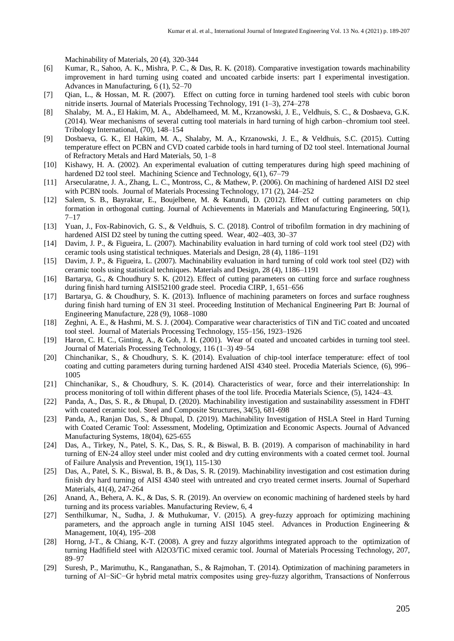Machinability of Materials, 20 (4), 320-344

- [6] Kumar, R., Sahoo, A. K., Mishra, P. C., & Das, R. K. (2018). Comparative investigation towards machinability improvement in hard turning using coated and uncoated carbide inserts: part I experimental investigation. Advances in Manufacturing, 6 (1), 52–70
- [7] Qian, L., & Hossan, M. R. (2007). Effect on cutting force in turning hardened tool steels with cubic boron nitride inserts. Journal of Materials Processing Technology, 191 (1–3), 274–278
- [8] Shalaby, M. A., El Hakim, M. A., Abdelhameed, M. M., Krzanowski, J. E., Veldhuis, S. C., & Dosbaeva, G.K. (2014). Wear mechanisms of several cutting tool materials in hard turning of high carbon–chromium tool steel. Tribology International, (70), 148–154
- [9] Dosbaeva, G. K., El Hakim, M. A., Shalaby, M. A., Krzanowski, J. E., & Veldhuis, S.C. (2015). Cutting temperature effect on PCBN and CVD coated carbide tools in hard turning of D2 tool steel. International Journal of Refractory Metals and Hard Materials, 50, 1–8
- [10] Kishawy, H. A. (2002). An experimental evaluation of cutting temperatures during high speed machining of hardened D2 tool steel. Machining Science and Technology, 6(1), 67–79
- [11] Arsecularatne, J. A., Zhang, L. C., Montross, C., & Mathew, P. (2006). On machining of hardened AISI D2 steel with PCBN tools. Journal of Materials Processing Technology, 171 (2), 244–252
- [12] Salem, S. B., Bayraktar, E., Boujelbene, M. & Katundi, D. (2012). Effect of cutting parameters on chip formation in orthogonal cutting. Journal of Achievements in Materials and Manufacturing Engineering, 50(1), 7–17
- [13] Yuan, J., Fox-Rabinovich, G. S., & Veldhuis, S. C. (2018). Control of tribofilm formation in dry machining of hardened AISI D2 steel by tuning the cutting speed. Wear, 402–403, 30–37
- [14] Davim, J. P., & Figueira, L. (2007). Machinability evaluation in hard turning of cold work tool steel (D2) with ceramic tools using statistical techniques. Materials and Design, 28 (4), 1186–1191
- [15] Davim, J. P., & Figueira, L. (2007). Machinability evaluation in hard turning of cold work tool steel (D2) with ceramic tools using statistical techniques. Materials and Design, 28 (4), 1186–1191
- [16] Bartarya, G., & Choudhury S. K. (2012). Effect of cutting parameters on cutting force and surface roughness during finish hard turning AISI52100 grade steel. Procedia CIRP, 1, 651–656
- [17] Bartarya, G. & Choudhury, S. K. (2013). Influence of machining parameters on forces and surface roughness during finish hard turning of EN 31 steel. Proceeding Institution of Mechanical Engineering Part B: Journal of Engineering Manufacture, 228 (9), 1068–1080
- [18] Zeghni, A. E., & Hashmi, M. S. J. (2004). Comparative wear characteristics of TiN and TiC coated and uncoated tool steel. Journal of Materials Processing Technology, 155–156, 1923–1926
- [19] Haron, C. H. C., Ginting, A., & Goh, J. H. (2001). Wear of coated and uncoated carbides in turning tool steel. Journal of Materials Processing Technology, 116 (1–3) 49–54
- [20] Chinchanikar, S., & Choudhury, S. K. (2014). Evaluation of chip-tool interface temperature: effect of tool coating and cutting parameters during turning hardened AISI 4340 steel. Procedia Materials Science, (6), 996– 1005
- [21] Chinchanikar, S., & Choudhury, S. K. (2014). Characteristics of wear, force and their interrelationship: In process monitoring of toll within different phases of the tool life. Procedia Materials Science, (5), 1424–43.
- [22] Panda, A., Das, S. R., & Dhupal, D. (2020). Machinability investigation and sustainability assessment in FDHT with coated ceramic tool. Steel and Composite Structures, 34(5), 681-698
- [23] Panda, A., Ranjan Das, S., & Dhupal, D. (2019). Machinability Investigation of HSLA Steel in Hard Turning with Coated Ceramic Tool: Assessment, Modeling, Optimization and Economic Aspects. Journal of Advanced Manufacturing Systems, 18(04), 625-655
- [24] Das, A., Tirkey, N., Patel, S. K., Das, S. R., & Biswal, B. B. (2019). A comparison of machinability in hard turning of EN-24 alloy steel under mist cooled and dry cutting environments with a coated cermet tool. Journal of Failure Analysis and Prevention, 19(1), 115-130
- [25] Das, A., Patel, S. K., Biswal, B. B., & Das, S. R. (2019). Machinability investigation and cost estimation during finish dry hard turning of AISI 4340 steel with untreated and cryo treated cermet inserts. Journal of Superhard Materials, 41(4), 247-264
- [26] Anand, A., Behera, A. K., & Das, S. R. (2019). An overview on economic machining of hardened steels by hard turning and its process variables. Manufacturing Review, 6, 4
- [27] Senthilkumar, N., Sudha, J. & Muthukumar, V. (2015). A grey-fuzzy approach for optimizing machining parameters, and the approach angle in turning AISI 1045 steel. Advances in Production Engineering & Management, 10(4), 195–208
- [28] Horng, J-T., & Chiang, K-T. (2008). A grey and fuzzy algorithms integrated approach to the optimization of turning Hadfifield steel with Al2O3/TiC mixed ceramic tool. Journal of Materials Processing Technology, 207, 89–97
- [29] Suresh, P., Marimuthu, K., Ranganathan, S., & Rajmohan, T. (2014). Optimization of machining parameters in turning of Al−SiC−Gr hybrid metal matrix composites using grey-fuzzy algorithm, Transactions of Nonferrous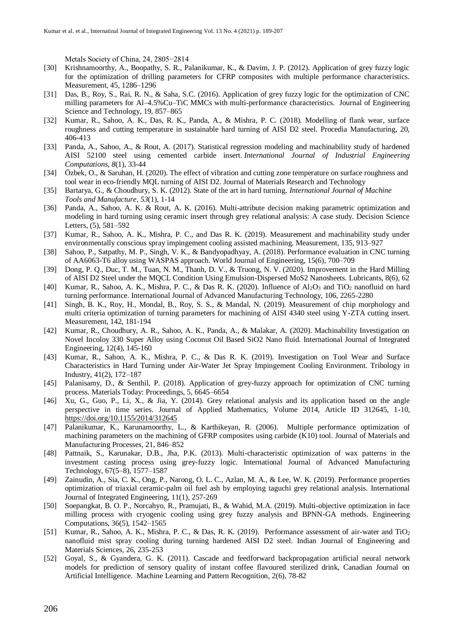Metals Society of China, 24, 2805−2814

- [30] Krishnamoorthy, A., Boopathy, S. R., Palanikumar, K., & Davim, J. P. (2012). Application of grey fuzzy logic for the optimization of drilling parameters for CFRP composites with multiple performance characteristics. Measurement, 45, 1286–1296
- [31] Das, B., Roy, S., Rai, R. N., & Saha, S.C. (2016). Application of grey fuzzy logic for the optimization of CNC milling parameters for Al–4.5%Cu–TiC MMCs with multi-performance characteristics. Journal of Engineering Science and Technology, 19, 857–865
- [32] Kumar, R., Sahoo, A. K., Das, R. K., Panda, A., & Mishra, P. C. (2018). Modelling of flank wear, surface roughness and cutting temperature in sustainable hard turning of AISI D2 steel. Procedia Manufacturing, 20, 406-413
- [33] Panda, A., Sahoo, A., & Rout, A. (2017). Statistical regression modeling and machinability study of hardened AISI 52100 steel using cemented carbide insert. *International Journal of Industrial Engineering Computations*, *8*(1), 33-44
- [34] Özbek, O., & Saruhan, H. (2020). The effect of vibration and cutting zone temperature on surface roughness and tool wear in eco-friendly MQL turning of AISI D2. Journal of Materials Research and Technology
- [35] Bartarya, G., & Choudhury, S. K. (2012). State of the art in hard turning. *International Journal of Machine Tools and Manufacture*, *53*(1), 1-14
- [36] Panda, A., Sahoo, A. K. & Rout, A. K. (2016). Multi-attribute decision making parametric optimization and modeling in hard turning using ceramic insert through grey relational analysis: A case study. Decision Science Letters, (5), 581–592
- [37] Kumar, R., Sahoo, A. K., Mishra, P. C., and Das R. K. (2019). Measurement and machinability study under environmentally conscious spray impingement cooling assisted machining. Measurement, 135, 913–927
- [38] Sahoo, P., Satpathy, M. P., Singh, V. K., & Bandyopadhyay, A. (2018). Performance evaluation in CNC turning of AA6063-T6 alloy using WASPAS approach. World Journal of Engineering, 15(6), 700–709
- [39] Dong, P. Q., Duc, T. M., Tuan, N. M., Thanh, D. V., & Truong, N. V. (2020). Improvement in the Hard Milling of AISI D2 Steel under the MQCL Condition Using Emulsion-Dispersed MoS2 Nanosheets. Lubricants, 8(6), 62
- [40] Kumar, R., Sahoo, A. K., Mishra, P. C., & Das R. K. (2020). Influence of Al<sub>2</sub>O<sub>3</sub> and TiO<sub>2</sub> nanofluid on hard turning performance. International Journal of Advanced Manufacturing Technology, 106, 2265-2280
- [41] Singh, B. K., Roy, H., Mondal, B., Roy, S. S., & Mandal, N. (2019). Measurement of chip morphology and multi criteria optimization of turning parameters for machining of AISI 4340 steel using Y-ZTA cutting insert. Measurement, 142, 181-194
- [42] Kumar, R., Choudhury, A. R., Sahoo, A. K., Panda, A., & Malakar, A. (2020). Machinability Investigation on Novel Incoloy 330 Super Alloy using Coconut Oil Based SiO2 Nano fluid. International Journal of Integrated Engineering, 12(4), 145-160
- [43] Kumar, R., Sahoo, A. K., Mishra, P. C., & Das R. K. (2019). Investigation on Tool Wear and Surface Characteristics in Hard Turning under Air-Water Jet Spray Impingement Cooling Environment. Tribology in Industry, 41(2), 172–187
- [45] Palanisamy, D., & Senthil, P. (2018). Application of grey-fuzzy approach for optimization of CNC turning process. Materials Today: Proceedings, 5, 6645–6654
- [46] Xu, G., Guo, P., Li, X., & Jia, Y. (2014). Grey relational analysis and its application based on the angle perspective in time series. Journal of Applied Mathematics, Volume 2014, Article ID 312645, 1-10, <https://doi.org/10.1155/2014/312645>
- [47] Palanikumar, K., Karunamoorthy, L., & Karthikeyan, R. (2006). Multiple performance optimization of machining parameters on the machining of GFRP composites using carbide (K10) tool. Journal of Materials and Manufacturing Processes, 21, 846–852
- [48] Pattnaik, S., Karunakar, D.B., Jha, P.K. (2013). Multi-characteristic optimization of wax patterns in the investment casting process using grey-fuzzy logic. International Journal of Advanced Manufacturing Technology, 67(5–8), 1577–1587
- [49] Zainudin, A., Sia, C. K., Ong, P., Narong, O. L. C., Azlan, M. A., & Lee, W. K. (2019). Performance properties optimization of triaxial ceramic-palm oil fuel ash by employing taguchi grey relational analysis. International Journal of Integrated Engineering, 11(1), 257-269
- [50] Soepangkat, B. O. P., Norcahyo, R., Pramujati, B., & Wahid, M.A. (2019). Multi-objective optimization in face milling process with cryogenic cooling using grey fuzzy analysis and BPNN-GA methods. Engineering Computations, 36(5), 1542–1565
- [51] Kumar, R., Sahoo, A. K., Mishra, P. C., & Das, R. K. (2019). Performance assessment of air-water and TiO<sub>2</sub> nanofluid mist spray cooling during turning hardened AISI D2 steel. Indian Journal of Engineering and Materials Sciences, 26, 235-253
- [52] Goyal, S., & Gyandera, G. K. (2011). Cascade and feedforward backpropagation artificial neural network models for prediction of sensory quality of instant coffee flavoured sterilized drink, Canadian Journal on Artificial Intelligence. Machine Learning and Pattern Recognition, 2(6), 78-82